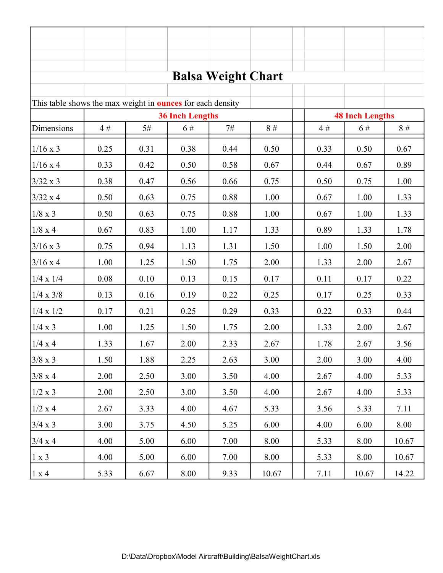| <b>Balsa Weight Chart</b>                                         |          |          |                                          |      |       |  |                        |       |       |  |  |  |
|-------------------------------------------------------------------|----------|----------|------------------------------------------|------|-------|--|------------------------|-------|-------|--|--|--|
|                                                                   |          |          |                                          |      |       |  |                        |       |       |  |  |  |
| This table shows the max weight in <b>ounces</b> for each density |          |          |                                          |      |       |  | <b>48 Inch Lengths</b> |       |       |  |  |  |
| Dimensions                                                        | 4#       | 5#       | <b>36 Inch Lengths</b><br>8#<br>6#<br>7# |      |       |  | 4#                     | 6#    | 8#    |  |  |  |
|                                                                   |          |          |                                          |      |       |  |                        |       |       |  |  |  |
| $1/16 \times 3$                                                   | 0.25     | 0.31     | 0.38                                     | 0.44 | 0.50  |  | 0.33                   | 0.50  | 0.67  |  |  |  |
| $1/16 \times 4$                                                   | 0.33     | 0.42     | 0.50                                     | 0.58 | 0.67  |  | 0.44                   | 0.67  | 0.89  |  |  |  |
| $3/32 \times 3$                                                   | 0.38     | 0.47     | 0.56                                     | 0.66 | 0.75  |  | 0.50                   | 0.75  | 1.00  |  |  |  |
| $3/32 \times 4$                                                   | 0.50     | 0.63     | 0.75                                     | 0.88 | 1.00  |  | 0.67                   | 1.00  | 1.33  |  |  |  |
| $1/8 \times 3$                                                    | 0.50     | 0.63     | 0.75                                     | 0.88 | 1.00  |  | 0.67                   | 1.00  | 1.33  |  |  |  |
| $1/8 \ge 4$                                                       | 0.67     | 0.83     | 1.00                                     | 1.17 | 1.33  |  | 0.89                   | 1.33  | 1.78  |  |  |  |
| $3/16 \times 3$                                                   | 0.75     | 0.94     | 1.13                                     | 1.31 | 1.50  |  | 1.00                   | 1.50  | 2.00  |  |  |  |
| $3/16 \times 4$                                                   | 1.00     | 1.25     | 1.50                                     | 1.75 | 2.00  |  | 1.33                   | 2.00  | 2.67  |  |  |  |
| $1/4 \times 1/4$                                                  | $0.08\,$ | $0.10\,$ | 0.13                                     | 0.15 | 0.17  |  | 0.11                   | 0.17  | 0.22  |  |  |  |
| $1/4 \times 3/8$                                                  | 0.13     | 0.16     | 0.19                                     | 0.22 | 0.25  |  | 0.17                   | 0.25  | 0.33  |  |  |  |
| $1/4 \times 1/2$                                                  | 0.17     | 0.21     | 0.25                                     | 0.29 | 0.33  |  | 0.22                   | 0.33  | 0.44  |  |  |  |
| 1/4 x 3                                                           | 1.00     | 1.25     | 1.50                                     | 1.75 | 2.00  |  | 1.33                   | 2.00  | 2.67  |  |  |  |
| $1/4 \ge 4$                                                       | 1.33     | 1.67     | 2.00                                     | 2.33 | 2.67  |  | 1.78                   | 2.67  | 3.56  |  |  |  |
| $3/8 \ge 3$                                                       | 1.50     | 1.88     | 2.25                                     | 2.63 | 3.00  |  | 2.00                   | 3.00  | 4.00  |  |  |  |
| $3/8 \times 4$                                                    | 2.00     | 2.50     | 3.00                                     | 3.50 | 4.00  |  | 2.67                   | 4.00  | 5.33  |  |  |  |
| $1/2 \ge 3$                                                       | 2.00     | 2.50     | 3.00                                     | 3.50 | 4.00  |  | 2.67                   | 4.00  | 5.33  |  |  |  |
| $1/2 \ge 4$                                                       | 2.67     | 3.33     | 4.00                                     | 4.67 | 5.33  |  | 3.56                   | 5.33  | 7.11  |  |  |  |
| $3/4 \times 3$                                                    | 3.00     | 3.75     | 4.50                                     | 5.25 | 6.00  |  | 4.00                   | 6.00  | 8.00  |  |  |  |
| 3/4 x 4                                                           | 4.00     | 5.00     | 6.00                                     | 7.00 | 8.00  |  | 5.33                   | 8.00  | 10.67 |  |  |  |
| 1 x 3                                                             | 4.00     | 5.00     | 6.00                                     | 7.00 | 8.00  |  | 5.33                   | 8.00  | 10.67 |  |  |  |
| 1 x 4                                                             | 5.33     | 6.67     | 8.00                                     | 9.33 | 10.67 |  | 7.11                   | 10.67 | 14.22 |  |  |  |